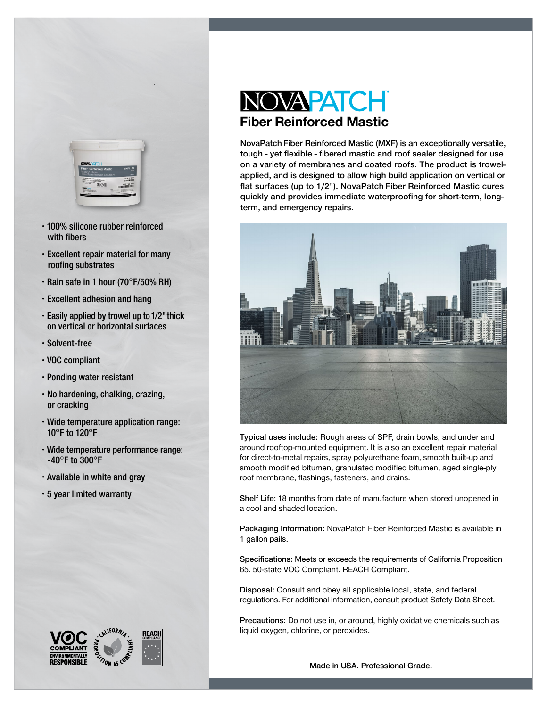

- 100% silicone rubber reinforced with fibers
- Excellent repair material for many roofing substrates
- $\cdot$  Rain safe in 1 hour (70°F/50% RH)
- Excellent adhesion and hang
- $\cdot$  Easily applied by trowel up to 1/2" thick on vertical or horizontal surfaces
- Solvent-free
- VOC compliant
- Ponding water resistant
- No hardening, chalking, crazing, or cracking
- Wide temperature application range:  $10^{\circ}$ F to 120°F
- Wide temperature performance range: -40 $^{\circ}$ F to 300 $^{\circ}$ F
- Available in white and gray
- 5 year limited warranty





# NOVAPATCH Fiber Reinforced Mastic

NovaPatch Fiber Reinforced Mastic (MXF) is an exceptionally versatile, tough - yet flexible - fibered mastic and roof sealer designed for use on a variety of membranes and coated roofs. The product is trowelapplied, and is designed to allow high build application on vertical or flat surfaces (up to 1/2"). NovaPatch Fiber Reinforced Mastic cures quickly and provides immediate waterproofing for short-term, longterm, and emergency repairs.



Typical uses include: Rough areas of SPF, drain bowls, and under and around rooftop-mounted equipment. It is also an excellent repair material for direct-to-metal repairs, spray polyurethane foam, smooth built-up and smooth modified bitumen, granulated modified bitumen, aged single-ply roof membrane, flashings, fasteners, and drains.

Shelf Life: 18 months from date of manufacture when stored unopened in a cool and shaded location.

Packaging Information: NovaPatch Fiber Reinforced Mastic is available in 1 gallon pails.

Specifications: Meets or exceeds the requirements of California Proposition 65. 50-state VOC Compliant. REACH Compliant.

Disposal: Consult and obey all applicable local, state, and federal regulations. For additional information, consult product Safety Data Sheet.

Precautions: Do not use in, or around, highly oxidative chemicals such as liquid oxygen, chlorine, or peroxides.

Made in USA. Professional Grade.